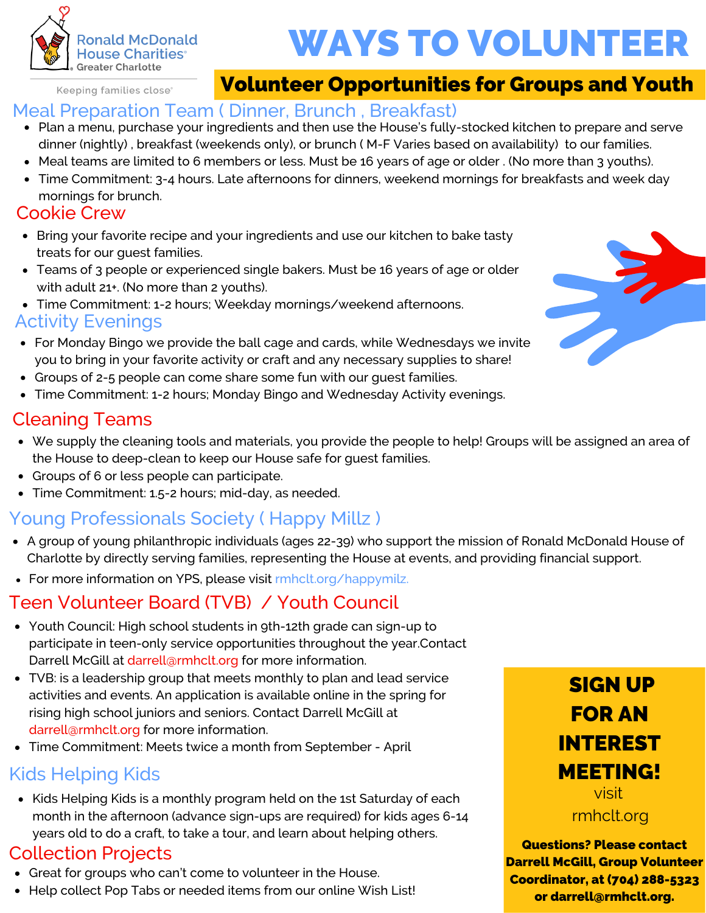

# WAYS TO VOLUNTEER

Keeping families close<sup>®</sup>

# Volunteer Opportunities for Groups and Youth

## Meal Preparation Team ( Dinner, Brunch , Breakfast)

- Plan a menu, purchase your ingredients and then use the House's fully-stocked kitchen to prepare and serve dinner (nightly) , breakfast (weekends only), or brunch ( M-F Varies based on availability) to our families.
- Meal teams are limited to 6 members or less. Must be 16 years of age or older . (No more than 3 youths).
- Time Commitment: 3-4 hours. Late afternoons for dinners, weekend mornings for breakfasts and week day mornings for brunch.

## Cookie Crew

- Bring your favorite recipe and your ingredients and use our kitchen to bake tasty treats for our guest families.
- Teams of 3 people or experienced single bakers. Must be 16 years of age or older with adult 21+. (No more than 2 youths).
- Time Commitment: 1-2 hours; Weekday mornings/weekend afternoons.

### Activity Evenings

- For Monday Bingo we provide the ball cage and cards, while Wednesdays we invite you to bring in your favorite activity or craft and any necessary supplies to share!
- Groups of 2-5 people can come share some fun with our guest families.
- Time Commitment: 1-2 hours; Monday Bingo and Wednesday Activity evenings.

## Cleaning Teams

- We supply the cleaning tools and materials, you provide the people to help! Groups will be assigned an area of the House to deep-clean to keep our House safe for guest families.
- Groups of 6 or less people can participate.
- Time Commitment: 1.5-2 hours; mid-day, as needed.  $\bullet$

# Young Professionals Society ( Happy Millz )

- A group of young philanthropic individuals (ages 22-39) who support the mission of Ronald McDonald House of Charlotte by directly serving families, representing the House at events, and providing financial support.
- For more information on YPS, please visit rmhclt.org/happymilz.

# Teen Volunteer Board (TVB) / Youth Council

- Youth Council: High school students in 9th-12th grade can sign-up to participate in teen-only service opportunities throughout the year.Contact Darrell McGill at darrell@rmhclt.org for more information.
- TVB: is a leadership group that meets monthly to plan and lead service activities and events. An application is available online in the spring for rising high school juniors and seniors. Contact Darrell McGill at darrell@rmhclt.org for more information.
- Time Commitment: Meets twice a month from September April

# Kids Helping Kids

• Kids Helping Kids is a monthly program held on the 1st Saturday of each month in the afternoon (advance sign-ups are required) for kids ages 6-14 years old to do a craft, to take a tour, and learn about helping others.

## Collection Projects

- Great for groups who can't come to volunteer in the House.
- Help collect Pop Tabs or needed items from our online Wish List!



Questions? Please contact Darrell McGill, Group Volunteer Coordinator, at (704) 288-5323 or darrell@rmhclt.org.